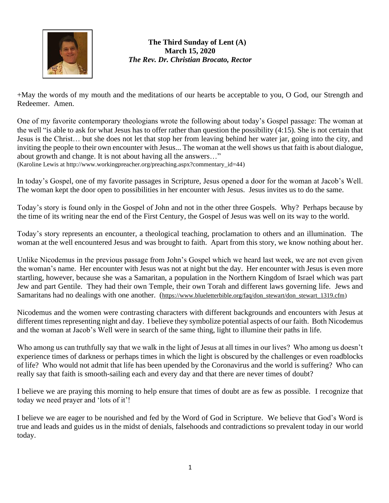

**The Third Sunday of Lent (A) March 15, 2020** *The Rev. Dr. Christian Brocato, Rector*

+May the words of my mouth and the meditations of our hearts be acceptable to you, O God, our Strength and Redeemer. Amen.

One of my favorite contemporary theologians wrote the following about today's Gospel passage: The woman at the well "is able to ask for what Jesus has to offer rather than question the possibility (4:15). She is not certain that Jesus is the Christ… but she does not let that stop her from leaving behind her water jar, going into the city, and inviting the people to their own encounter with Jesus... The woman at the well shows us that faith is about dialogue, about growth and change. It is not about having all the answers…"

(Karoline Lewis at [http://www.workingpreacher.org/preaching.aspx?commentary\\_id=44\)](http://www.workingpreacher.org/preaching.aspx?commentary_id=44)

In today's Gospel, one of my favorite passages in Scripture, Jesus opened a door for the woman at Jacob's Well. The woman kept the door open to possibilities in her encounter with Jesus. Jesus invites us to do the same.

Today's story is found only in the Gospel of John and not in the other three Gospels. Why? Perhaps because by the time of its writing near the end of the First Century, the Gospel of Jesus was well on its way to the world.

Today's story represents an encounter, a theological teaching, proclamation to others and an illumination. The woman at the well encountered Jesus and was brought to faith. Apart from this story, we know nothing about her.

Unlike Nicodemus in the previous passage from John's Gospel which we heard last week, we are not even given the woman's name. Her encounter with Jesus was not at night but the day. Her encounter with Jesus is even more startling, however, because she was a Samaritan, a population in the Northern Kingdom of Israel which was part Jew and part Gentile. They had their own Temple, their own Torah and different laws governing life. Jews and Samaritans had no dealings with one another. ([https://www.blueletterbible.org/faq/don\\_stewart/don\\_stewart\\_1319.cfm\)](https://www.blueletterbible.org/faq/don_stewart/don_stewart_1319.cfm)

Nicodemus and the women were contrasting characters with different backgrounds and encounters with Jesus at different times representing night and day. I believe they symbolize potential aspects of our faith. Both Nicodemus and the woman at Jacob's Well were in search of the same thing, light to illumine their paths in life.

Who among us can truthfully say that we walk in the light of Jesus at all times in our lives? Who among us doesn't experience times of darkness or perhaps times in which the light is obscured by the challenges or even roadblocks of life? Who would not admit that life has been upended by the Coronavirus and the world is suffering? Who can really say that faith is smooth-sailing each and every day and that there are never times of doubt?

I believe we are praying this morning to help ensure that times of doubt are as few as possible. I recognize that today we need prayer and 'lots of it'!

I believe we are eager to be nourished and fed by the Word of God in Scripture. We believe that God's Word is true and leads and guides us in the midst of denials, falsehoods and contradictions so prevalent today in our world today.